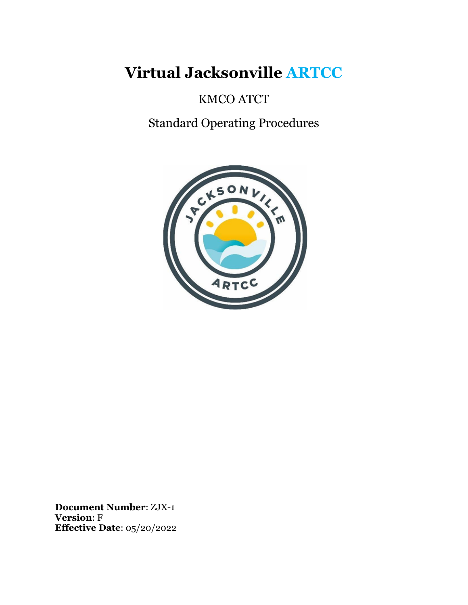# **Virtual Jacksonville ARTCC**

KMCO ATCT

Standard Operating Procedures



**Document Number**: ZJX-1 **Version**: F **Effective Date**: 05/20/2022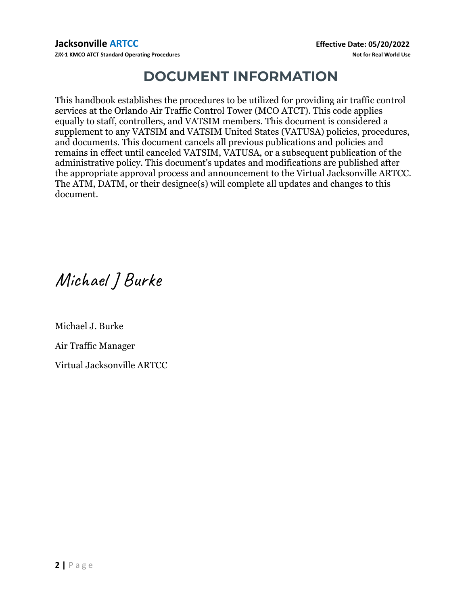# **DOCUMENT INFORMATION**

<span id="page-1-0"></span>This handbook establishes the procedures to be utilized for providing air traffic control services at the Orlando Air Traffic Control Tower (MCO ATCT). This code applies equally to staff, controllers, and VATSIM members. This document is considered a supplement to any VATSIM and VATSIM United States (VATUSA) policies, procedures, and documents. This document cancels all previous publications and policies and remains in effect until canceled VATSIM, VATUSA, or a subsequent publication of the administrative policy. This document's updates and modifications are published after the appropriate approval process and announcement to the Virtual Jacksonville ARTCC. The ATM, DATM, or their designee(s) will complete all updates and changes to this document.

# Michael JBurke

Michael J. Burke

Air Traffic Manager

Virtual Jacksonville ARTCC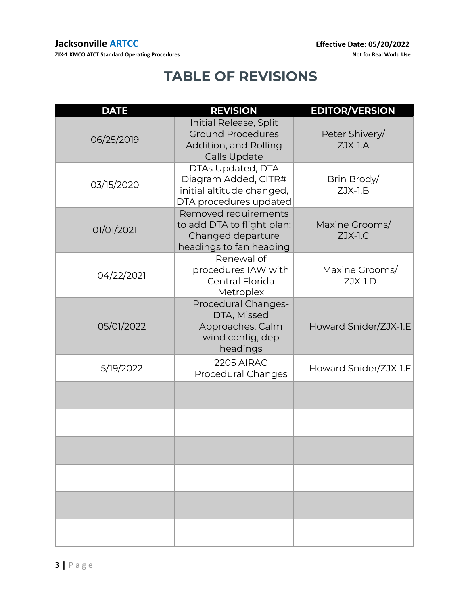# **TABLE OF REVISIONS**

<span id="page-2-0"></span>

| <b>DATE</b> | <b>REVISION</b>                                                                                    | <b>EDITOR/VERSION</b>       |
|-------------|----------------------------------------------------------------------------------------------------|-----------------------------|
| 06/25/2019  | Initial Release, Split<br><b>Ground Procedures</b><br>Addition, and Rolling<br>Calls Update        | Peter Shivery/<br>$ZJX-I.A$ |
| 03/15/2020  | DTAs Updated, DTA<br>Diagram Added, CITR#<br>initial altitude changed,<br>DTA procedures updated   | Brin Brody/<br>$ZJX-1.B$    |
| 01/01/2021  | Removed requirements<br>to add DTA to flight plan;<br>Changed departure<br>headings to fan heading | Maxine Grooms/<br>$ZJX-1.C$ |
| 04/22/2021  | Renewal of<br>procedures IAW with<br><b>Central Florida</b><br>Metroplex                           | Maxine Grooms/<br>$ZJX-1.D$ |
| 05/01/2022  | Procedural Changes-<br>DTA, Missed<br>Approaches, Calm<br>wind config, dep<br>headings             | Howard Snider/ZJX-1.E       |
| 5/19/2022   | 2205 AIRAC<br><b>Procedural Changes</b>                                                            | Howard Snider/ZJX-1.F       |
|             |                                                                                                    |                             |
|             |                                                                                                    |                             |
|             |                                                                                                    |                             |
|             |                                                                                                    |                             |
|             |                                                                                                    |                             |
|             |                                                                                                    |                             |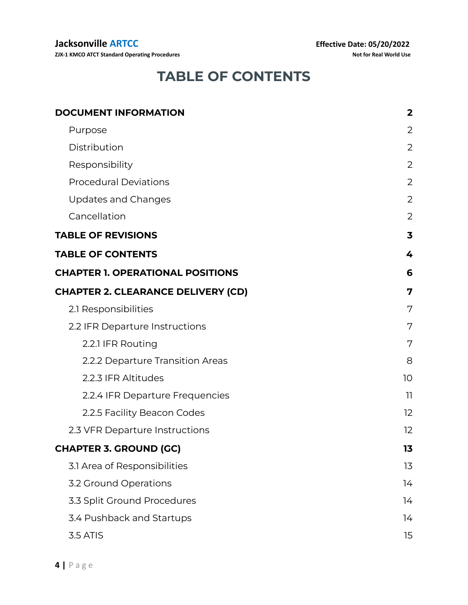**Jacksonville ARTCC Effective Date: 05/20/2022**

**ZJX-1 KMCO ATCT Standard Operating Procedures Not for Real World Use**

# **TABLE OF CONTENTS**

<span id="page-3-0"></span>

| <b>DOCUMENT INFORMATION</b>               | $\mathbf{2}$            |
|-------------------------------------------|-------------------------|
| Purpose                                   | 2                       |
| Distribution                              | $\overline{2}$          |
| Responsibility                            | $\overline{2}$          |
| <b>Procedural Deviations</b>              | $\overline{2}$          |
| <b>Updates and Changes</b>                | $\overline{2}$          |
| Cancellation                              | $\overline{2}$          |
| <b>TABLE OF REVISIONS</b>                 | $\overline{\mathbf{3}}$ |
| <b>TABLE OF CONTENTS</b>                  | 4                       |
| <b>CHAPTER 1. OPERATIONAL POSITIONS</b>   | 6                       |
| <b>CHAPTER 2. CLEARANCE DELIVERY (CD)</b> | 7                       |
| 2.1 Responsibilities                      | 7                       |
| 2.2 IFR Departure Instructions            | 7                       |
| 2.2.1 IFR Routing                         | 7                       |
| 2.2.2 Departure Transition Areas          | 8                       |
| 2.2.3 IFR Altitudes                       | 10                      |
| 2.2.4 IFR Departure Frequencies           | 11                      |
| 2.2.5 Facility Beacon Codes               | 12                      |
| 2.3 VFR Departure Instructions            | 12                      |
| <b>CHAPTER 3. GROUND (GC)</b>             | 13                      |
| 3.1 Area of Responsibilities              | 13                      |
| 3.2 Ground Operations                     | 14                      |
| 3.3 Split Ground Procedures               | 14                      |
| 3.4 Pushback and Startups                 | 14                      |
| 3.5 ATIS                                  | 15                      |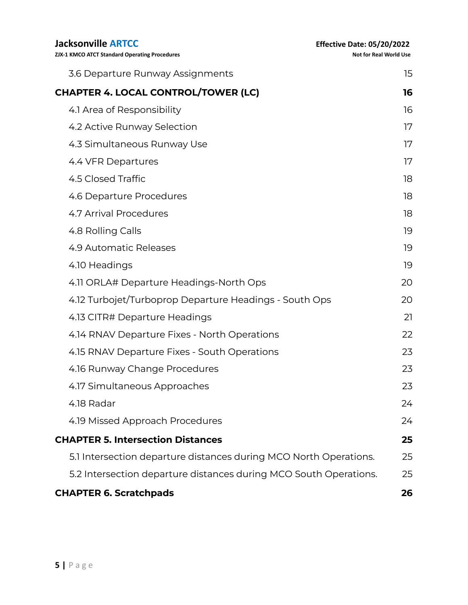# **Jacksonville ARTCC Effective Date: 05/20/2022 ZJX-1 KMCO ATCT Standard Operating Procedures Not for Real World Use** 3.6 Departure Runway [Assignments](#page-15-1) [1](#page-15-1)5 **CHAPTER 4. LOCAL [CONTROL/TOWER](#page-16-0) (LC) [1](#page-16-0)6** 4.1 Area of [Responsibility](#page-16-1) [16](#page-16-1) 4.2 Active Runway [Selection](#page-17-0) [17](#page-17-0) 4.3 [Simultaneous](#page-17-1) Runway Use [17](#page-17-1) 4.4 VFR [Departures](#page-17-2) [17](#page-17-2) 4.5 [Closed](#page-18-0) Traffic 18 4.6 Departure Procedures 18 4.7 Arrival Procedures 18 4.8 Rolling Calls 19 4.9 Automatic Releases 19 4.10 Headings 19 4.11 ORLA# Departure Headings-North Ops 20 4.12 Turbojet/Turboprop Departure Headings - South Ops 20 4.13 CITR# Departure Headings 21 4.14 RNAV Departure Fixes - North Operations 22 4.15 RNAV Departure Fixes - South Operations 23 4.16 Runway Change Procedures 23 4.17 Simultaneous Approaches 23 4.18 Radar 24 4.19 Missed Approach Procedures 24 **CHAPTER 5. [Intersection](#page-25-0) Distances 25** 5.1 Intersection departure distances during MCO North Operations. 25 5.2 [Intersection](#page-25-1) departure distances during MCO South Operations. 25 **[CHAPTER](#page-25-0) 6. Scratchpads 26**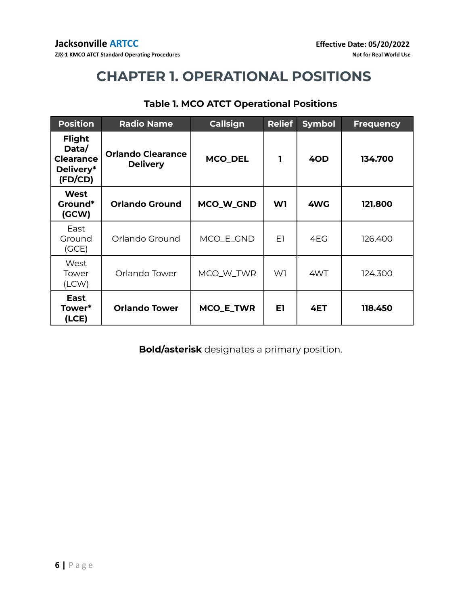# <span id="page-5-0"></span>**CHAPTER 1. OPERATIONAL POSITIONS**

| <b>Position</b>                                                    | <b>Radio Name</b>                           | <b>Callsign</b>  | <b>Relief</b> | <b>Symbol</b> | <b>Frequency</b> |
|--------------------------------------------------------------------|---------------------------------------------|------------------|---------------|---------------|------------------|
| <b>Flight</b><br>Data/<br><b>Clearance</b><br>Delivery*<br>(FD/CD) | <b>Orlando Clearance</b><br><b>Delivery</b> | <b>MCO_DEL</b>   | 1             | 4OD           | 134.700          |
| <b>West</b><br>Ground*<br>(GCW)                                    | <b>Orlando Ground</b>                       | <b>MCO_W_GND</b> | W1            | 4WG           | 121.800          |
| East<br>Ground<br>(GCE)                                            | Orlando Ground                              | MCO_E_GND        | E1            | 4EG           | 126.400          |
| West<br>Tower<br>(LCW)                                             | Orlando Tower                               | MCO_W_TWR        | W1            | 4WT           | 124.300          |
| <b>East</b><br>Tower*<br>(LCE)                                     | <b>Orlando Tower</b>                        | <b>MCO_E_TWR</b> | E1            | 4ET           | 118.450          |

### **Table 1. MCO ATCT Operational Positions**

**Bold/asterisk** designates a primary position.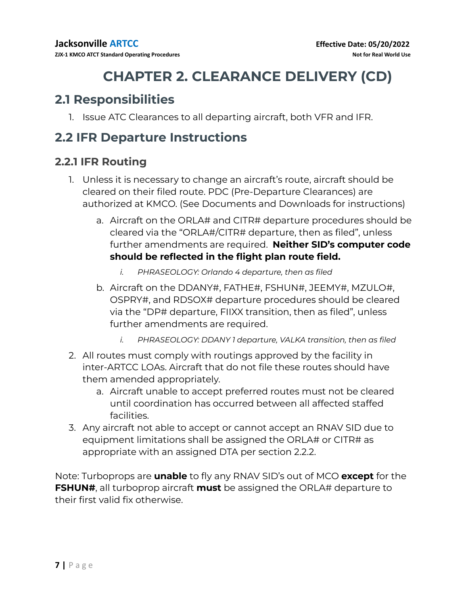# **CHAPTER 2. CLEARANCE DELIVERY (CD)**

# <span id="page-6-1"></span><span id="page-6-0"></span>**2.1 Responsibilities**

1. Issue ATC Clearances to all departing aircraft, both VFR and IFR.

# <span id="page-6-2"></span>**2.2 IFR Departure Instructions**

### <span id="page-6-3"></span>**2.2.1 IFR Routing**

- 1. Unless it is necessary to change an aircraft's route, aircraft should be cleared on their filed route. PDC (Pre-Departure Clearances) are authorized at KMCO. (See Documents and Downloads for instructions)
	- a. Aircraft on the ORLA# and CITR# departure procedures should be cleared via the "ORLA#/CITR# departure, then as filed", unless further amendments are required. **Neither SID's computer code should be reflected in the flight plan route field.**
		- *i. PHRASEOLOGY: Orlando 4 departure, then as filed*
	- b. Aircraft on the DDANY#, FATHE#, FSHUN#, JEEMY#, MZULO#, OSPRY#, and RDSOX# departure procedures should be cleared via the "DP# departure, FIIXX transition, then as filed", unless further amendments are required.
		- *i. PHRASEOLOGY: DDANY 1 departure, VALKA transition, then as filed*
- 2. All routes must comply with routings approved by the facility in inter-ARTCC LOAs. Aircraft that do not file these routes should have them amended appropriately.
	- a. Aircraft unable to accept preferred routes must not be cleared until coordination has occurred between all affected staffed facilities.
- 3. Any aircraft not able to accept or cannot accept an RNAV SID due to equipment limitations shall be assigned the ORLA# or CITR# as appropriate with an assigned DTA per section 2.2.2.

Note: Turboprops are **unable** to fly any RNAV SID's out of MCO **except** for the **FSHUN#**, all turboprop aircraft **must** be assigned the ORLA# departure to their first valid fix otherwise.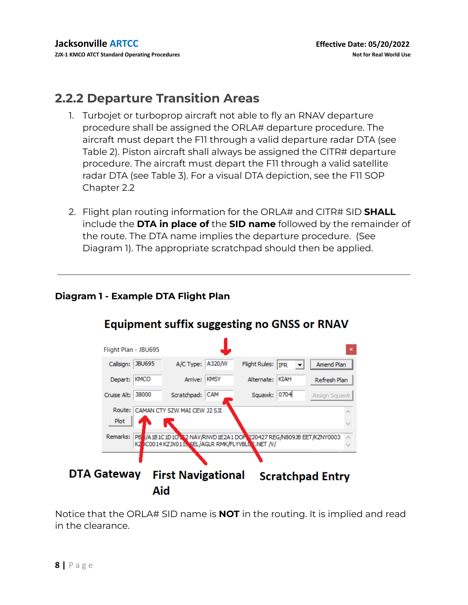## <span id="page-7-0"></span>**2.2.2 Departure Transition Areas**

- 1. Turbojet or turboprop aircraft not able to fly an RNAV departure procedure shall be assigned the ORLA# departure procedure. The aircraft must depart the F11 through a valid departure radar DTA (see Table 2). Piston aircraft shall always be assigned the CITR# departure procedure. The aircraft must depart the F11 through a valid satellite radar DTA (see Table 3). For a visual DTA depiction, see the F11 SOP Chapter 2.2
- 2. Flight plan routing information for the ORLA# and CITR# SID **SHALL** include the **DTA in place of** the **SID name** followed by the remainder of the route. The DTA name implies the departure procedure. (See Diagram 1). The appropriate scratchpad should then be applied.

#### **Diagram 1 - Example DTA Flight Plan**



### **Equipment suffix suggesting no GNSS or RNAV**

Notice that the ORLA# SID name is **NOT** in the routing. It is implied and read in the clearance.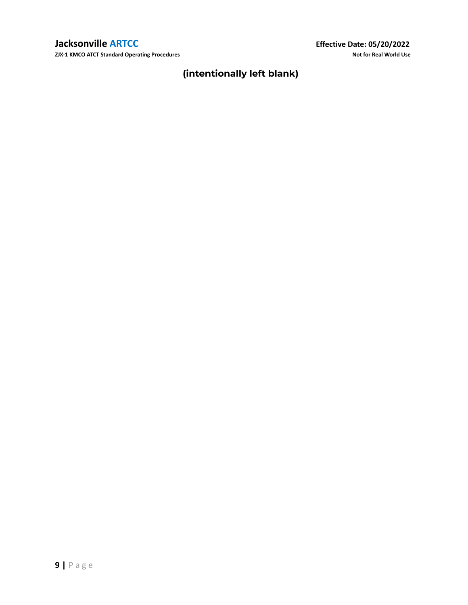

### **(intentionally left blank)**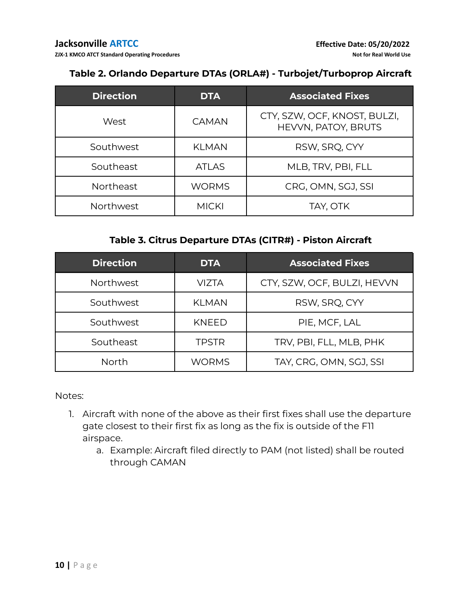### **Table 2. Orlando Departure DTAs (ORLA#) - Turbojet/Turboprop Aircraft**

| <b>Direction</b> | <b>DTA</b>   | <b>Associated Fixes</b>                             |
|------------------|--------------|-----------------------------------------------------|
| West             | <b>CAMAN</b> | CTY, SZW, OCF, KNOST, BULZI,<br>HEVVN, PATOY, BRUTS |
| Southwest        | <b>KLMAN</b> | RSW, SRQ, CYY                                       |
| Southeast        | <b>ATLAS</b> | MLB, TRV, PBI, FLL                                  |
| Northeast        | <b>WORMS</b> | CRG, OMN, SGJ, SSI                                  |
| Northwest        | <b>MICKI</b> | TAY, OTK                                            |

#### **Table 3. Citrus Departure DTAs (CITR#) - Piston Aircraft**

| <b>Direction</b> | <b>DTA</b>   | <b>Associated Fixes</b>     |
|------------------|--------------|-----------------------------|
| Northwest        | VIZTA        | CTY, SZW, OCF, BULZI, HEVVN |
| Southwest        | <b>KLMAN</b> | RSW, SRQ, CYY               |
| Southwest        | <b>KNEED</b> | PIE, MCF, LAL               |
| Southeast        | TPSTR        | TRV, PBI, FLL, MLB, PHK     |
| <b>North</b>     | <b>WORMS</b> | TAY, CRG, OMN, SGJ, SSI     |

Notes:

- 1. Aircraft with none of the above as their first fixes shall use the departure gate closest to their first fix as long as the fix is outside of the F11 airspace.
	- a. Example: Aircraft filed directly to PAM (not listed) shall be routed through CAMAN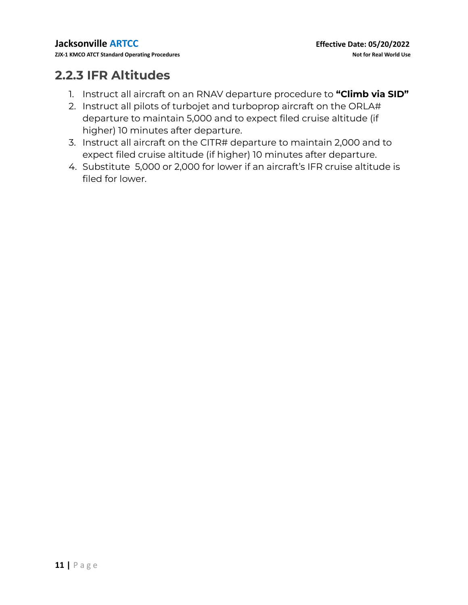### <span id="page-10-0"></span>**2.2.3 IFR Altitudes**

- 1. Instruct all aircraft on an RNAV departure procedure to **"Climb via SID"**
- 2. Instruct all pilots of turbojet and turboprop aircraft on the ORLA# departure to maintain 5,000 and to expect filed cruise altitude (if higher) 10 minutes after departure.
- 3. Instruct all aircraft on the CITR# departure to maintain 2,000 and to expect filed cruise altitude (if higher) 10 minutes after departure.
- 4. Substitute 5,000 or 2,000 for lower if an aircraft's IFR cruise altitude is filed for lower.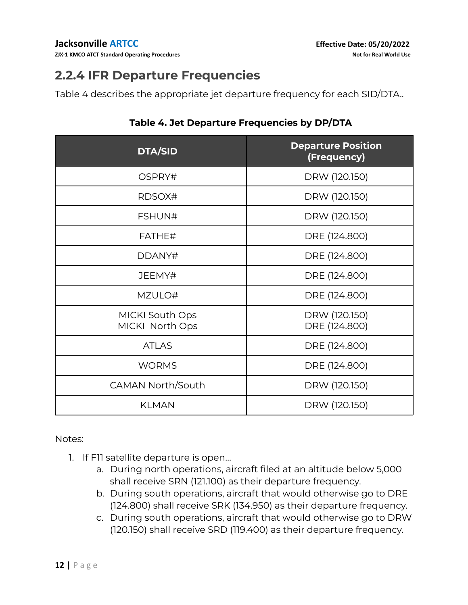**Jacksonville ARTCC Effective Date: 05/20/2022**

**ZJX-1 KMCO ATCT Standard Operating Procedures Not for Real World Use**

### **2.2.4 IFR Departure Frequencies**

Table 4 describes the appropriate jet departure frequency for each SID/DTA..

| <b>DTA/SID</b>                            | <b>Departure Position</b><br>(Frequency) |  |
|-------------------------------------------|------------------------------------------|--|
| OSPRY#                                    | DRW (120.150)                            |  |
| RDSOX#                                    | DRW (120.150)                            |  |
| FSHUN#                                    | DRW (120.150)                            |  |
| FATHE#                                    | DRE (124.800)                            |  |
| DDANY#                                    | DRE (124.800)                            |  |
| JEEMY#                                    | DRE (124.800)                            |  |
| MZULO#                                    | DRE (124.800)                            |  |
| <b>MICKI South Ops</b><br>MICKI North Ops | DRW (120.150)<br>DRE (124.800)           |  |
| <b>ATLAS</b>                              | DRE (124.800)                            |  |
| <b>WORMS</b>                              | DRE (124.800)                            |  |
| <b>CAMAN North/South</b>                  | DRW (120.150)                            |  |
| <b>KLMAN</b>                              | DRW (120.150)                            |  |

### **Table 4. Jet Departure Frequencies by DP/DTA**

Notes:

- 1. If F11 satellite departure is open…
	- a. During north operations, aircraft filed at an altitude below 5,000 shall receive SRN (121.100) as their departure frequency.
	- b. During south operations, aircraft that would otherwise go to DRE (124.800) shall receive SRK (134.950) as their departure frequency.
	- c. During south operations, aircraft that would otherwise go to DRW (120.150) shall receive SRD (119.400) as their departure frequency.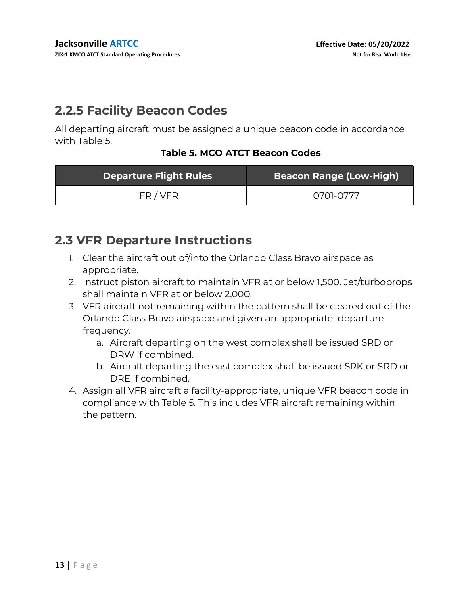# <span id="page-12-0"></span>**2.2.5 Facility Beacon Codes**

All departing aircraft must be assigned a unique beacon code in accordance with Table 5.

#### **Table 5. MCO ATCT Beacon Codes**

| <b>Departure Flight Rules</b> | <b>Beacon Range (Low-High)</b> |
|-------------------------------|--------------------------------|
| IFR/VFR                       | 0701-0777                      |

### <span id="page-12-1"></span>**2.3 VFR Departure Instructions**

- 1. Clear the aircraft out of/into the Orlando Class Bravo airspace as appropriate.
- 2. Instruct piston aircraft to maintain VFR at or below 1,500. Jet/turboprops shall maintain VFR at or below 2,000.
- 3. VFR aircraft not remaining within the pattern shall be cleared out of the Orlando Class Bravo airspace and given an appropriate departure frequency.
	- a. Aircraft departing on the west complex shall be issued SRD or DRW if combined.
	- b. Aircraft departing the east complex shall be issued SRK or SRD or DRE if combined.
- 4. Assign all VFR aircraft a facility-appropriate, unique VFR beacon code in compliance with Table 5. This includes VFR aircraft remaining within the pattern.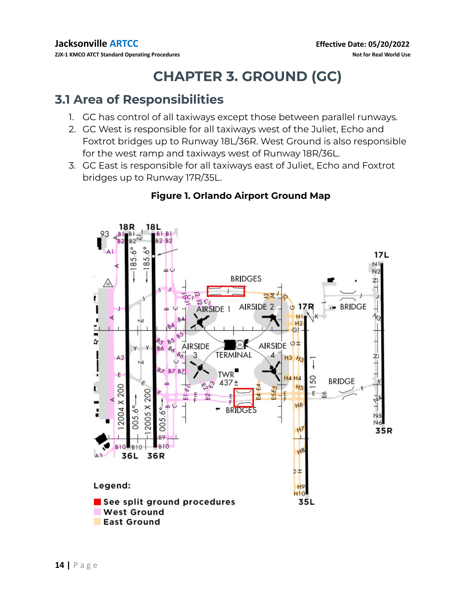# **CHAPTER 3. GROUND (GC)**

## <span id="page-13-1"></span><span id="page-13-0"></span>**3.1 Area of Responsibilities**

- 1. GC has control of all taxiways except those between parallel runways.
- 2. GC West is responsible for all taxiways west of the Juliet, Echo and Foxtrot bridges up to Runway 18L/36R. West Ground is also responsible for the west ramp and taxiways west of Runway 18R/36L.
- 3. GC East is responsible for all taxiways east of Juliet, Echo and Foxtrot bridges up to Runway 17R/35L.



### **Figure 1. Orlando Airport Ground Map**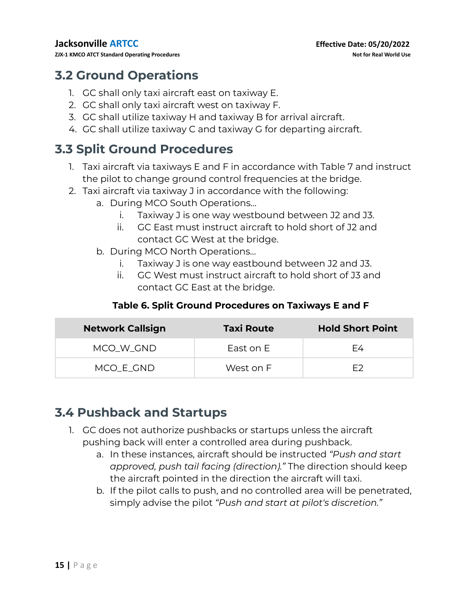# <span id="page-14-0"></span>**3.2 Ground Operations**

- 1. GC shall only taxi aircraft east on taxiway E.
- 2. GC shall only taxi aircraft west on taxiway F.
- 3. GC shall utilize taxiway H and taxiway B for arrival aircraft.
- 4. GC shall utilize taxiway C and taxiway G for departing aircraft.

### <span id="page-14-1"></span>**3.3 Split Ground Procedures**

- 1. Taxi aircraft via taxiways E and F in accordance with Table 7 and instruct the pilot to change ground control frequencies at the bridge.
- 2. Taxi aircraft via taxiway J in accordance with the following:
	- a. During MCO South Operations…
		- i. Taxiway J is one way westbound between J2 and J3.
		- ii. GC East must instruct aircraft to hold short of J2 and contact GC West at the bridge.
	- b. During MCO North Operations…
		- i. Taxiway J is one way eastbound between J2 and J3.
		- ii. GC West must instruct aircraft to hold short of J3 and contact GC East at the bridge.

| <b>Network Callsign</b> | <b>Taxi Route</b> | <b>Hold Short Point</b> |
|-------------------------|-------------------|-------------------------|
| MCO W GND               | East on E         | F4                      |
| MCO_E_GND               | West on F         |                         |

# <span id="page-14-2"></span>**3.4 Pushback and Startups**

- 1. GC does not authorize pushbacks or startups unless the aircraft pushing back will enter a controlled area during pushback.
	- a. In these instances, aircraft should be instructed *"Push and start approved, push tail facing (direction)."* The direction should keep the aircraft pointed in the direction the aircraft will taxi.
	- b. If the pilot calls to push, and no controlled area will be penetrated, simply advise the pilot *"Push and start at pilot's discretion."*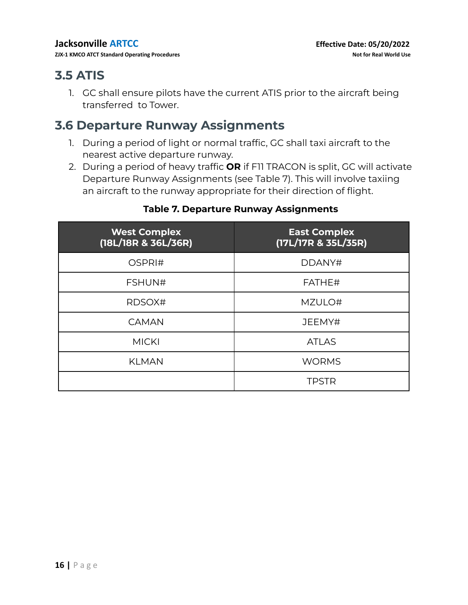#### **Jacksonville ARTCC Effective Date: 05/20/2022**

**ZJX-1 KMCO ATCT Standard Operating Procedures Not for Real World Use**

# <span id="page-15-0"></span>**3.5 ATIS**

1. GC shall ensure pilots have the current ATIS prior to the aircraft being transferred to Tower.

### <span id="page-15-1"></span>**3.6 Departure Runway Assignments**

- 1. During a period of light or normal traffic, GC shall taxi aircraft to the nearest active departure runway.
- 2. During a period of heavy traffic **OR** if F11 TRACON is split, GC will activate Departure Runway Assignments (see Table 7). This will involve taxiing an aircraft to the runway appropriate for their direction of flight.

| <b>West Complex</b><br>(18L/18R & 36L/36R) | <b>East Complex</b><br>(17L/17R & 35L/35R) |
|--------------------------------------------|--------------------------------------------|
| OSPRI#                                     | DDANY#                                     |
| FSHUN#                                     | FATHE#                                     |
| RDSOX#                                     | MZULO#                                     |
| <b>CAMAN</b>                               | JEEMY#                                     |
| <b>MICKI</b>                               | <b>ATLAS</b>                               |
| <b>KLMAN</b>                               | <b>WORMS</b>                               |
|                                            | <b>TPSTR</b>                               |

#### **Table 7. Departure Runway Assignments**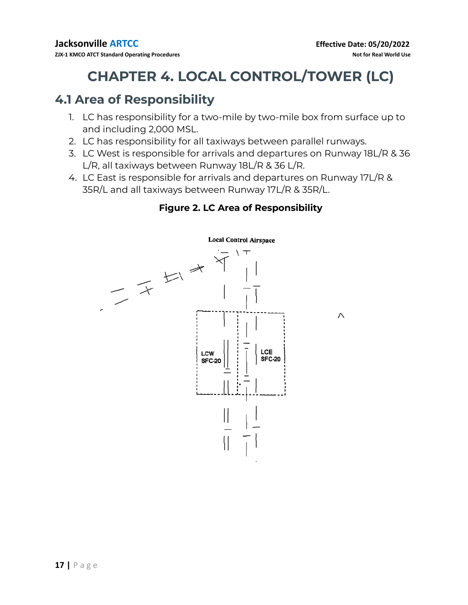$\wedge$ 

# **CHAPTER 4. LOCAL CONTROL/TOWER (LC)**

## <span id="page-16-1"></span><span id="page-16-0"></span>**4.1 Area of Responsibility**

- 1. LC has responsibility for a two-mile by two-mile box from surface up to and including 2,000 MSL.
- 2. LC has responsibility for all taxiways between parallel runways.
- 3. LC West is responsible for arrivals and departures on Runway 18L/R & 36 L/R, all taxiways between Runway 18L/R & 36 L/R.
- 4. LC East is responsible for arrivals and departures on Runway 17L/R & 35R/L and all taxiways between Runway 17L/R & 35R/L.

### **Figure 2. LC Area of Responsibility**

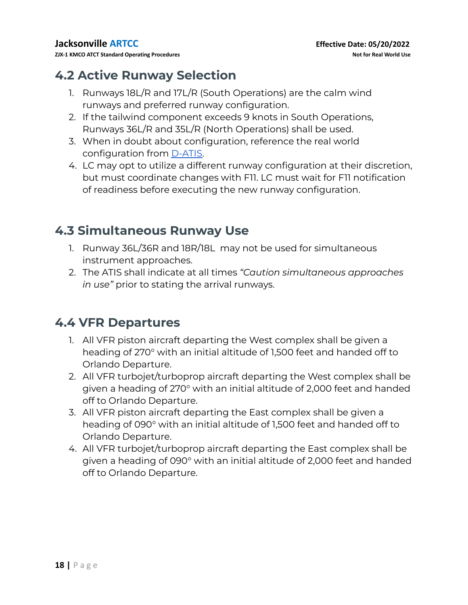## <span id="page-17-0"></span>**4.2 Active Runway Selection**

- 1. Runways 18L/R and 17L/R (South Operations) are the calm wind runways and preferred runway configuration.
- 2. If the tailwind component exceeds 9 knots in South Operations, Runways 36L/R and 35L/R (North Operations) shall be used.
- 3. When in doubt about configuration, reference the real world configuration from [D-ATIS.](https://datis.clowd.io/KMCO)
- 4. LC may opt to utilize a different runway configuration at their discretion, but must coordinate changes with F11. LC must wait for F11 notification of readiness before executing the new runway configuration.

# <span id="page-17-1"></span>**4.3 Simultaneous Runway Use**

- 1. Runway 36L/36R and 18R/18L may not be used for simultaneous instrument approaches.
- 2. The ATIS shall indicate at all times *"Caution simultaneous approaches in use"* prior to stating the arrival runways.

# <span id="page-17-2"></span>**4.4 VFR Departures**

- 1. All VFR piston aircraft departing the West complex shall be given a heading of 270° with an initial altitude of 1,500 feet and handed off to Orlando Departure.
- 2. All VFR turbojet/turboprop aircraft departing the West complex shall be given a heading of 270° with an initial altitude of 2,000 feet and handed off to Orlando Departure.
- 3. All VFR piston aircraft departing the East complex shall be given a heading of 090° with an initial altitude of 1,500 feet and handed off to Orlando Departure.
- 4. All VFR turbojet/turboprop aircraft departing the East complex shall be given a heading of 090° with an initial altitude of 2,000 feet and handed off to Orlando Departure.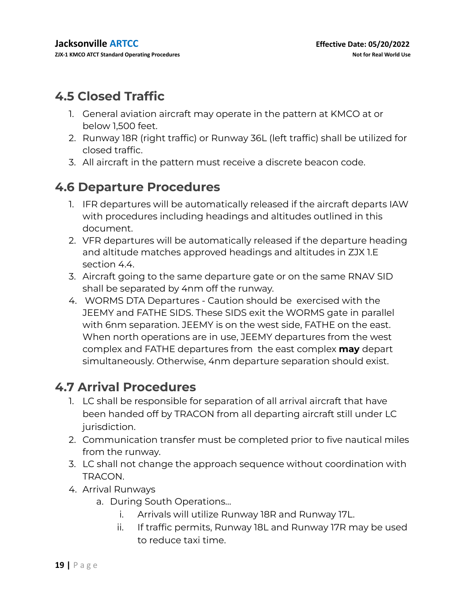# <span id="page-18-0"></span>**4.5 Closed Traffic**

- 1. General aviation aircraft may operate in the pattern at KMCO at or below 1,500 feet.
- 2. Runway 18R (right traffic) or Runway 36L (left traffic) shall be utilized for closed traffic.
- 3. All aircraft in the pattern must receive a discrete beacon code.

# **4.6 Departure Procedures**

- 1. IFR departures will be automatically released if the aircraft departs IAW with procedures including headings and altitudes outlined in this document.
- 2. VFR departures will be automatically released if the departure heading and altitude matches approved headings and altitudes in ZJX 1.E section 4.4.
- 3. Aircraft going to the same departure gate or on the same RNAV SID shall be separated by 4nm off the runway.
- 4. WORMS DTA Departures Caution should be exercised with the JEEMY and FATHE SIDS. These SIDS exit the WORMS gate in parallel with 6nm separation. JEEMY is on the west side, FATHE on the east. When north operations are in use, JEEMY departures from the west complex and FATHE departures from the east complex **may** depart simultaneously. Otherwise, 4nm departure separation should exist.

# **4.7 Arrival Procedures**

- 1. LC shall be responsible for separation of all arrival aircraft that have been handed off by TRACON from all departing aircraft still under LC jurisdiction.
- 2. Communication transfer must be completed prior to five nautical miles from the runway.
- 3. LC shall not change the approach sequence without coordination with TRACON.
- 4. Arrival Runways
	- a. During South Operations…
		- i. Arrivals will utilize Runway 18R and Runway 17L.
		- ii. If traffic permits, Runway 18L and Runway 17R may be used to reduce taxi time.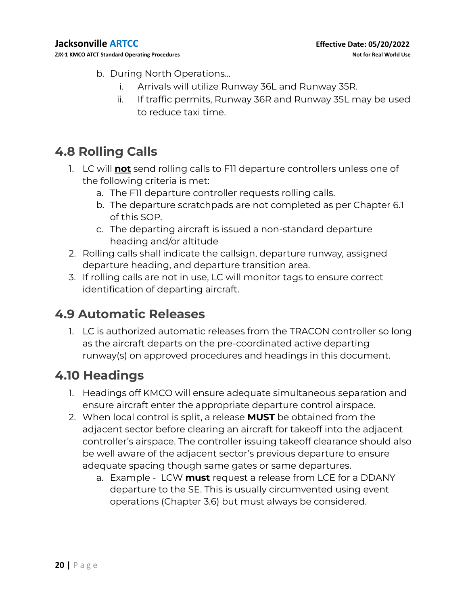- b. During North Operations…
	- i. Arrivals will utilize Runway 36L and Runway 35R.
	- ii. If traffic permits, Runway 36R and Runway 35L may be used to reduce taxi time.

## **4.8 Rolling Calls**

- 1. LC will **not** send rolling calls to F11 departure controllers unless one of the following criteria is met:
	- a. The F11 departure controller requests rolling calls.
	- b. The departure scratchpads are not completed as per Chapter 6.1 of this SOP.
	- c. The departing aircraft is issued a non-standard departure heading and/or altitude
- 2. Rolling calls shall indicate the callsign, departure runway, assigned departure heading, and departure transition area.
- 3. If rolling calls are not in use, LC will monitor tags to ensure correct identification of departing aircraft.

## **4.9 Automatic Releases**

1. LC is authorized automatic releases from the TRACON controller so long as the aircraft departs on the pre-coordinated active departing runway(s) on approved procedures and headings in this document.

## **4.10 Headings**

- 1. Headings off KMCO will ensure adequate simultaneous separation and ensure aircraft enter the appropriate departure control airspace.
- 2. When local control is split, a release **MUST** be obtained from the adjacent sector before clearing an aircraft for takeoff into the adjacent controller's airspace. The controller issuing takeoff clearance should also be well aware of the adjacent sector's previous departure to ensure adequate spacing though same gates or same departures.
	- a. Example LCW **must** request a release from LCE for a DDANY departure to the SE. This is usually circumvented using event operations (Chapter 3.6) but must always be considered.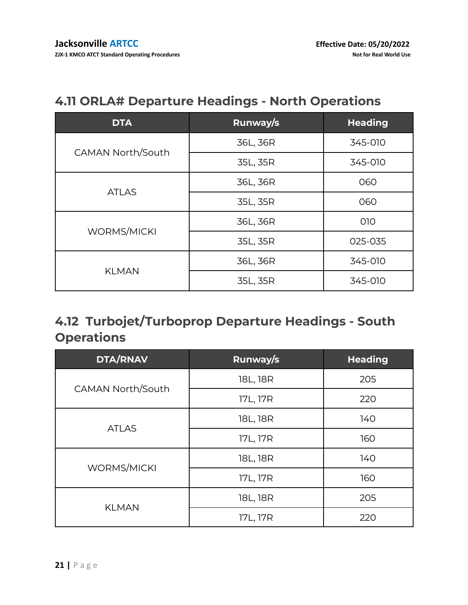ATLAS

WORMS/MICKI

KLMAN

35L, 35R 060

36L, 36R 010

35L, 35R 025-035

36L, 36R 345-010

35L, 35R 345-010

| <b>DTA</b>               | Runway/s | <b>Heading</b> |  |
|--------------------------|----------|----------------|--|
| <b>CAMAN North/South</b> | 36L, 36R | 345-010        |  |
|                          | 35L, 35R | 345-010        |  |
|                          | 36L, 36R | 060            |  |

### **4.11 ORLA# Departure Headings - North Operations**

# **4.12 Turbojet/Turboprop Departure Headings - South Operations**

| <b>DTA/RNAV</b>          | Runway/s | <b>Heading</b> |
|--------------------------|----------|----------------|
| <b>CAMAN North/South</b> | 18L, 18R | 205            |
|                          | 17L, 17R | 220            |
| <b>ATLAS</b>             | 18L, 18R | 140            |
|                          | 17L, 17R | 160            |
| <b>WORMS/MICKI</b>       | 18L, 18R | 140            |
|                          | 17L, 17R | 160            |
| <b>KLMAN</b>             | 18L, 18R | 205            |
|                          | 17L, 17R | 220            |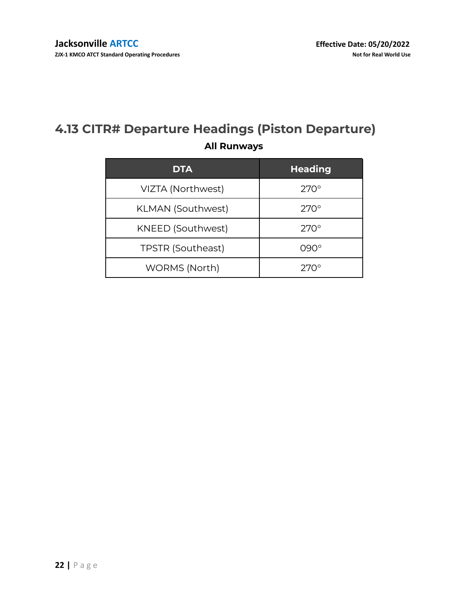# **4.13 CITR# Departure Headings (Piston Departure) All Runways**

| <b>DTA</b>               | <b>Heading</b> |
|--------------------------|----------------|
| VIZTA (Northwest)        | $270^\circ$    |
| <b>KLMAN (Southwest)</b> | $270^\circ$    |
| <b>KNEED (Southwest)</b> | $270^\circ$    |
| <b>TPSTR (Southeast)</b> | 090°           |
| WORMS (North)            | 270°           |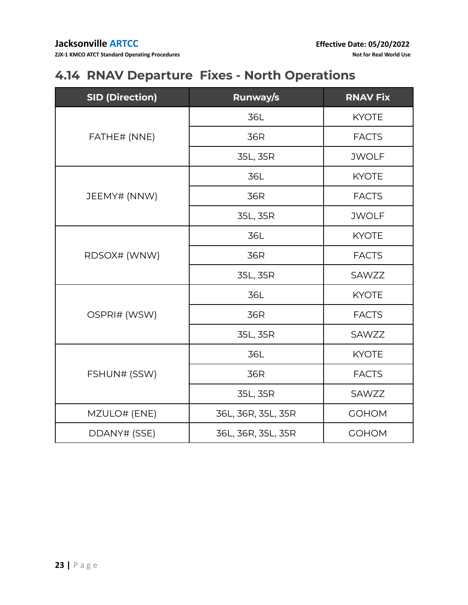# **4.14 RNAV Departure Fixes - North Operations**

| <b>SID (Direction)</b> | <b>Runway/s</b>    | <b>RNAV Fix</b> |
|------------------------|--------------------|-----------------|
| FATHE# (NNE)           | 36L                | <b>KYOTE</b>    |
|                        | 36R                | <b>FACTS</b>    |
|                        | 35L, 35R           | <b>JWOLF</b>    |
|                        | 36L                | <b>KYOTE</b>    |
| JEEMY# (NNW)           | 36R                | <b>FACTS</b>    |
|                        | 35L, 35R           | <b>JWOLF</b>    |
|                        | 36L                | <b>KYOTE</b>    |
| RDSOX# (WNW)           | 36R                | <b>FACTS</b>    |
|                        | 35L, 35R           | SAWZZ           |
|                        | 36L                | <b>KYOTE</b>    |
| OSPRI# (WSW)           | 36R                | <b>FACTS</b>    |
|                        | 35L, 35R           | SAWZZ           |
|                        | 36L                | <b>KYOTE</b>    |
| FSHUN# (SSW)           | 36R                | <b>FACTS</b>    |
|                        | 35L, 35R           | SAWZZ           |
| MZULO# (ENE)           | 36L, 36R, 35L, 35R | <b>GOHOM</b>    |
| DDANY# (SSE)           | 36L, 36R, 35L, 35R | <b>GOHOM</b>    |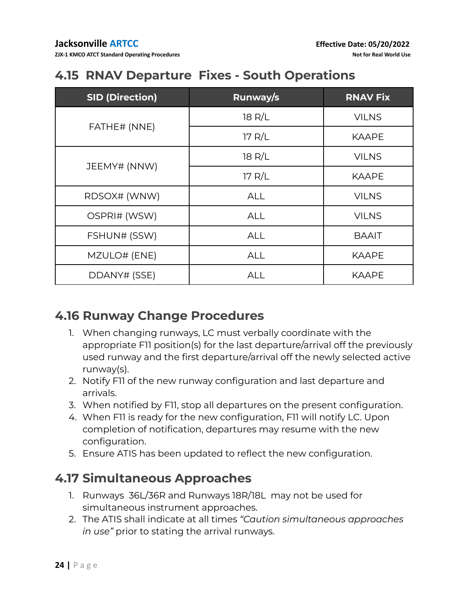### **4.15 RNAV Departure Fixes - South Operations**

| <b>SID (Direction)</b> | Runway/s   | <b>RNAV Fix</b> |
|------------------------|------------|-----------------|
| FATHE# (NNE)           | 18 R/L     | <b>VILNS</b>    |
|                        | 17 R/L     | <b>KAAPE</b>    |
| JEEMY# (NNW)           | 18 R/L     | <b>VILNS</b>    |
|                        | 17 R/L     | <b>KAAPE</b>    |
| RDSOX# (WNW)           | <b>ALL</b> | <b>VILNS</b>    |
| OSPRI# (WSW)           | <b>ALL</b> | <b>VILNS</b>    |
| FSHUN# (SSW)           | <b>ALL</b> | <b>BAAIT</b>    |
| MZULO# (ENE)           | <b>ALL</b> | <b>KAAPE</b>    |
| DDANY# (SSE)           | <b>ALL</b> | <b>KAAPE</b>    |

### **4.16 Runway Change Procedures**

- 1. When changing runways, LC must verbally coordinate with the appropriate F11 position(s) for the last departure/arrival off the previously used runway and the first departure/arrival off the newly selected active runway(s).
- 2. Notify F11 of the new runway configuration and last departure and arrivals.
- 3. When notified by F11, stop all departures on the present configuration.
- 4. When F11 is ready for the new configuration, F11 will notify LC. Upon completion of notification, departures may resume with the new configuration.
- 5. Ensure ATIS has been updated to reflect the new configuration.

## **4.17 Simultaneous Approaches**

- 1. Runways 36L/36R and Runways 18R/18L may not be used for simultaneous instrument approaches.
- 2. The ATIS shall indicate at all times *"Caution simultaneous approaches in use"* prior to stating the arrival runways.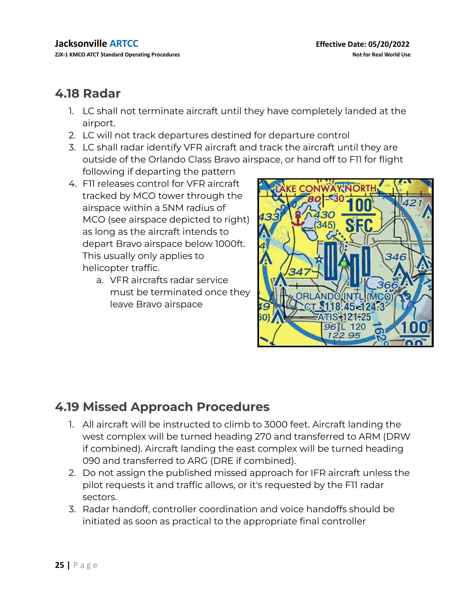## **4.18 Radar**

- 1. LC shall not terminate aircraft until they have completely landed at the airport.
- 2. LC will not track departures destined for departure control
- 3. LC shall radar identify VFR aircraft and track the aircraft until they are outside of the Orlando Class Bravo airspace, or hand off to F11 for flight following if departing the pattern
- 4. F11 releases control for VFR aircraft tracked by MCO tower through the airspace within a 5NM radius of MCO (see airspace depicted to right) as long as the aircraft intends to depart Bravo airspace below 1000ft. This usually only applies to helicopter traffic.
	- a. VFR aircrafts radar service must be terminated once they leave Bravo airspace



## **4.19 Missed Approach Procedures**

- 1. All aircraft will be instructed to climb to 3000 feet. Aircraft landing the west complex will be turned heading 270 and transferred to ARM (DRW if combined). Aircraft landing the east complex will be turned heading 090 and transferred to ARG (DRE if combined).
- 2. Do not assign the published missed approach for IFR aircraft unless the pilot requests it and traffic allows, or it's requested by the F11 radar sectors.
- 3. Radar handoff, controller coordination and voice handoffs should be initiated as soon as practical to the appropriate final controller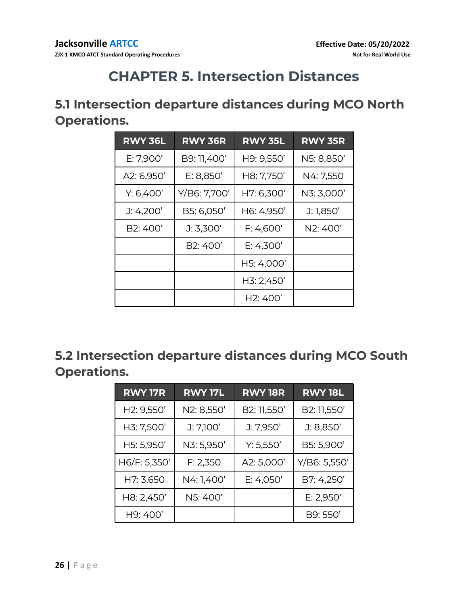# **CHAPTER 5. Intersection Distances**

# <span id="page-25-0"></span>**5.1 Intersection departure distances during MCO North Operations.**

| <b>RWY 36L</b> | <b>RWY 36R</b> | <b>RWY 35L</b>        | <b>RWY 35R</b> |
|----------------|----------------|-----------------------|----------------|
| E: 7,900'      | B9: 11,400'    | H9: 9,550'            | N5: 8,850'     |
| A2: 6,950'     | E: 8,850'      | H8: 7,750'            | N4: 7,550      |
| Y: 6,400'      | Y/B6: 7,700'   | H7: 6,300'            | N3: 3,000'     |
| J: 4,200'      | B5: 6,050'     | H6: 4,950'            | J: 1,850'      |
| B2: 400'       | J: 3,300'      | F: 4,600'             | N2: 400'       |
|                | B2: 400'       | E: 4,300'             |                |
|                |                | H5: 4,000'            |                |
|                |                | H3: 2,450'            |                |
|                |                | H <sub>2</sub> : 400' |                |

<span id="page-25-1"></span>**5.2 Intersection departure distances during MCO South Operations.**

| <b>RWY 17R</b> | <b>RWY 17L</b> | <b>RWY 18R</b> | <b>RWY 18L</b> |
|----------------|----------------|----------------|----------------|
| H2: 9,550'     | N2: 8,550'     | B2: 11,550'    | B2: 11,550'    |
| H3: 7,500'     | J: 7,100'      | J: 7,950'      | J: 8,850'      |
| H5: 5,950'     | N3: 5,950'     | Y: 5,550'      | B5: 5,900'     |
| H6/F: 5,350'   | F: 2,350       | A2: 5,000'     | Y/B6: 5,550'   |
| H7: 3,650      | N4: 1,400'     | E: 4,050'      | B7: 4,250'     |
| H8: 2,450'     | N5: 400'       |                | E: 2,950'      |
| H9: 400'       |                |                | B9: 550'       |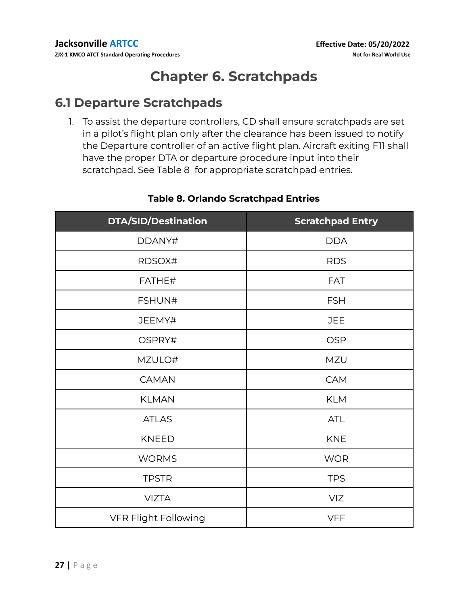# **Chapter 6. Scratchpads**

### **6.1 Departure Scratchpads**

1. To assist the departure controllers, CD shall ensure scratchpads are set in a pilot's flight plan only after the clearance has been issued to notify the Departure controller of an active flight plan. Aircraft exiting F11 shall have the proper DTA or departure procedure input into their scratchpad. See Table 8 for appropriate scratchpad entries.

| <b>DTA/SID/Destination</b>  | <b>Scratchpad Entry</b> |
|-----------------------------|-------------------------|
| DDANY#                      | <b>DDA</b>              |
| RDSOX#                      | <b>RDS</b>              |
| FATHE#                      | <b>FAT</b>              |
| FSHUN#                      | <b>FSH</b>              |
| JEEMY#                      | <b>JEE</b>              |
| OSPRY#                      | <b>OSP</b>              |
| MZULO#                      | <b>MZU</b>              |
| <b>CAMAN</b>                | <b>CAM</b>              |
| <b>KLMAN</b>                | <b>KLM</b>              |
| <b>ATLAS</b>                | <b>ATL</b>              |
| <b>KNEED</b>                | <b>KNE</b>              |
| <b>WORMS</b>                | <b>WOR</b>              |
| <b>TPSTR</b>                | <b>TPS</b>              |
| <b>VIZTA</b>                | VIZ                     |
| <b>VFR Flight Following</b> | <b>VFF</b>              |

### **Table 8. Orlando Scratchpad Entries**